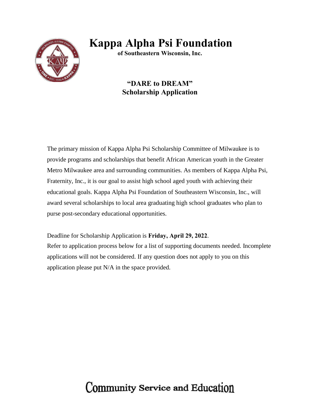

## **Kappa Alpha Psi Foundation**

**of Southeastern Wisconsin, Inc.** 

#### **"DARE to DREAM" Scholarship Application**

The primary mission of Kappa Alpha Psi Scholarship Committee of Milwaukee is to provide programs and scholarships that benefit African American youth in the Greater Metro Milwaukee area and surrounding communities. As members of Kappa Alpha Psi, Fraternity, Inc., it is our goal to assist high school aged youth with achieving their educational goals. Kappa Alpha Psi Foundation of Southeastern Wisconsin, Inc., will award several scholarships to local area graduating high school graduates who plan to purse post-secondary educational opportunities.

Deadline for Scholarship Application is **Friday, April 29, 2022**.

Refer to application process below for a list of supporting documents needed. Incomplete applications will not be considered. If any question does not apply to you on this application please put N/A in the space provided.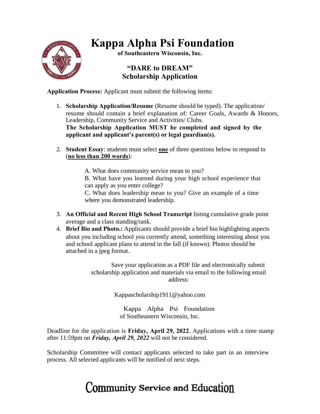

## **Kappa Alpha Psi Foundation**

**of Southeastern Wisconsin, Inc.** 

#### **"DARE to DREAM" Scholarship Application**

**Application Process:** Applicant must submit the following items:

- 1. **Scholarship Application/Resume** (Resume should be typed). The application/ resume should contain a brief explanation of: Career Goals, Awards & Honors, Leadership, Community Service and Activities/ Clubs. **The Scholarship Application MUST be completed and signed by the applicant and applicant's parent(s) or legal guardian(s).**
- 2. **Student Essay**: students must select **one** of three questions below to respond to (**no less than 200 words**):

A. What does community service mean to you?

B. What have you learned during your high school experience that can apply as you enter college?

C. What does leadership mean to you? Give an example of a time where you demonstrated leadership.

- 3. **An Official and Recent High School Transcript** listing cumulative grade point average and a class standing/rank.
- 4. **Brief Bio and Photo.:** Applicants should provide a brief bio highlighting aspects about you including school you currently attend, something interesting about you and school applicant plans to attend in the fall (if known). Photos should be attached in a jpeg format.

Save your application as a PDF file and electronically submit scholarship application and materials via email to the following email address:

Kappascholarship1911@yahoo.com

Kappa Alpha Psi Foundation of Southeastern Wisconsin, Inc.

Deadline for the application is **Friday, April 29, 2022**. Applications with a time stamp after 11:59pm on *Friday, April 29, 2022* will not be considered.

Scholarship Committee will contact applicants selected to take part in an interview process. All selected applicants will be notified of next steps.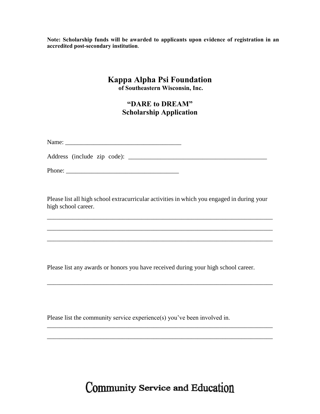**Note: Scholarship funds will be awarded to applicants upon evidence of registration in an accredited post-secondary institution**.

### **Kappa Alpha Psi Foundation**

**of Southeastern Wisconsin, Inc.** 

#### **"DARE to DREAM" Scholarship Application**

Address (include zip code): \_\_\_\_\_\_\_\_\_\_\_\_\_\_\_\_\_\_\_\_\_\_\_\_\_\_\_\_\_\_\_\_\_\_\_\_\_\_\_\_\_\_\_

Phone: \_\_\_\_\_\_\_\_\_\_\_\_\_\_\_\_\_\_\_\_\_\_\_\_\_\_\_\_\_\_\_\_\_\_\_\_

Please list all high school extracurricular activities in which you engaged in during your high school career.

\_\_\_\_\_\_\_\_\_\_\_\_\_\_\_\_\_\_\_\_\_\_\_\_\_\_\_\_\_\_\_\_\_\_\_\_\_\_\_\_\_\_\_\_\_\_\_\_\_\_\_\_\_\_\_\_\_\_\_\_\_\_\_\_\_\_\_\_\_\_\_\_

\_\_\_\_\_\_\_\_\_\_\_\_\_\_\_\_\_\_\_\_\_\_\_\_\_\_\_\_\_\_\_\_\_\_\_\_\_\_\_\_\_\_\_\_\_\_\_\_\_\_\_\_\_\_\_\_\_\_\_\_\_\_\_\_\_\_\_\_\_\_\_\_

\_\_\_\_\_\_\_\_\_\_\_\_\_\_\_\_\_\_\_\_\_\_\_\_\_\_\_\_\_\_\_\_\_\_\_\_\_\_\_\_\_\_\_\_\_\_\_\_\_\_\_\_\_\_\_\_\_\_\_\_\_\_\_\_\_\_\_\_\_\_\_\_

\_\_\_\_\_\_\_\_\_\_\_\_\_\_\_\_\_\_\_\_\_\_\_\_\_\_\_\_\_\_\_\_\_\_\_\_\_\_\_\_\_\_\_\_\_\_\_\_\_\_\_\_\_\_\_\_\_\_\_\_\_\_\_\_\_\_\_\_\_\_\_\_

\_\_\_\_\_\_\_\_\_\_\_\_\_\_\_\_\_\_\_\_\_\_\_\_\_\_\_\_\_\_\_\_\_\_\_\_\_\_\_\_\_\_\_\_\_\_\_\_\_\_\_\_\_\_\_\_\_\_\_\_\_\_\_\_\_\_\_\_\_\_\_\_

\_\_\_\_\_\_\_\_\_\_\_\_\_\_\_\_\_\_\_\_\_\_\_\_\_\_\_\_\_\_\_\_\_\_\_\_\_\_\_\_\_\_\_\_\_\_\_\_\_\_\_\_\_\_\_\_\_\_\_\_\_\_\_\_\_\_\_\_\_\_\_\_

Please list any awards or honors you have received during your high school career.

Please list the community service experience(s) you've been involved in.